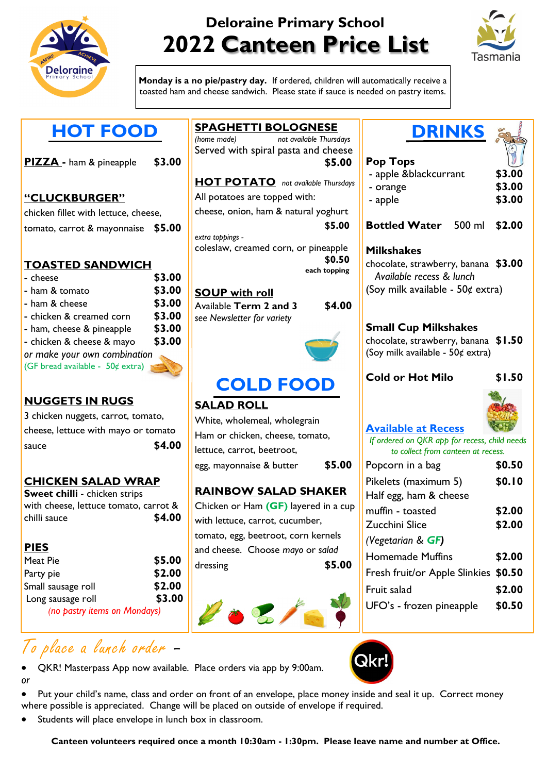

# **Deloraine Primary School 2022 Canteen Price List**



**Monday is a no pie/pastry day.** If ordered, children will automatically receive a toasted ham and cheese sandwich. Please state if sauce is needed on pastry items.

|  | PIZZA - ham & pineapple | \$3.00 |
|--|-------------------------|--------|
|  |                         |        |

#### **"CLUCKBURGER"**

chicken fillet with lettuce, cheese, tomato, carrot & mayonnaise **\$5.00**

### **TOASTED SANDWICH**

| - cheese                         | \$3.00 |
|----------------------------------|--------|
| - ham & tomato                   | \$3.00 |
| - ham & cheese                   | \$3.00 |
| - chicken & creamed corn         | \$3.00 |
| - ham, cheese & pineapple        | \$3.00 |
| - chicken & cheese & mayo        | \$3.00 |
| or make your own combination     |        |
| (GF bread available - 50¢ extra) |        |

#### **NUGGETS IN RUGS**

| 3 chicken nuggets, carrot, tomato,  |
|-------------------------------------|
| cheese, lettuce with mayo or tomato |
| \$4.00<br>sauce                     |

#### **CHICKEN SALAD WRAP**

**Sweet chilli** - chicken strips with cheese, lettuce tomato, carrot & chilli sauce **\$4.00**

#### **PIES**

| Meat Pie                     | \$5.00 |
|------------------------------|--------|
| Party pie                    | \$2.00 |
| Small sausage roll           | \$2.00 |
| Long sausage roll            | \$3.00 |
| (no pastry items on Mondays) |        |

### To place a lunch order –

- QKR! Masterpass App now available. Place orders via app by 9:00am. *or*
- Put your child's name, class and order on front of an envelope, place money inside and seal it up. Correct money where possible is appreciated. Change will be placed on outside of envelope if required.
- Students will place envelope in lunch box in classroom.

### **SPAGHETTI BOLOGNESE**

*(home made) not available Thursdays* Served with spiral pasta and cheese **\$5.00**

**HOT POTATO** *not available Thursdays* All potatoes are topped with: cheese, onion, ham & natural yoghurt

**\$5.00** *extra toppings -* 

coleslaw, creamed corn, or pineapple **\$0.50 each topping**

#### **SOUP with roll**

Available **Term 2 and 3 \$4.00** *see Newsletter for variety*





## **COLD FOOD**

### **SALAD ROLL**

White, wholemeal, wholegrain Ham or chicken, cheese, tomato, lettuce, carrot, beetroot, egg, mayonnaise & butter **\$5.00**

### **RAINBOW SALAD SHAKER**

Chicken or Ham **(GF)** layered in a cup with lettuce, carrot, cucumber, tomato, egg, beetroot, corn kernels and cheese. Choose *mayo* or *salad* dressing **\$5.00**



## **DRINKS**

#### **Pop Tops**

| - apple &blackcurrant | \$3.00 |
|-----------------------|--------|
| - orange              | \$3.00 |
| - apple               | \$3.00 |

**Bottled Water** 500 ml **\$2.00**

#### **Milkshakes**

chocolate, strawberry, banana **\$3.00**  *Available recess & lunch* (Soy milk available - 50¢ extra)

#### **Small Cup Milkshakes**

chocolate, strawberry, banana **\$1.50** (Soy milk available - 50¢ extra)

#### **Cold or Hot Milo \$1.50**



### **Available at Recess**

*If ordered on QKR app for recess, child needs to collect from canteen at recess.*

| Popcorn in a bag                     | \$0.50 |
|--------------------------------------|--------|
| Pikelets (maximum 5)                 | \$0.10 |
| Half egg, ham & cheese               |        |
| muffin - toasted                     | \$2.00 |
| Zucchini Slice                       | \$2.00 |
| (Vegetarian $\&$ GF)                 |        |
| Homemade Muffins                     | \$2.00 |
| Fresh fruit/or Apple Slinkies \$0.50 |        |
| Fruit salad                          | \$2.00 |
| UFO's - frozen pineapple             | \$0.50 |